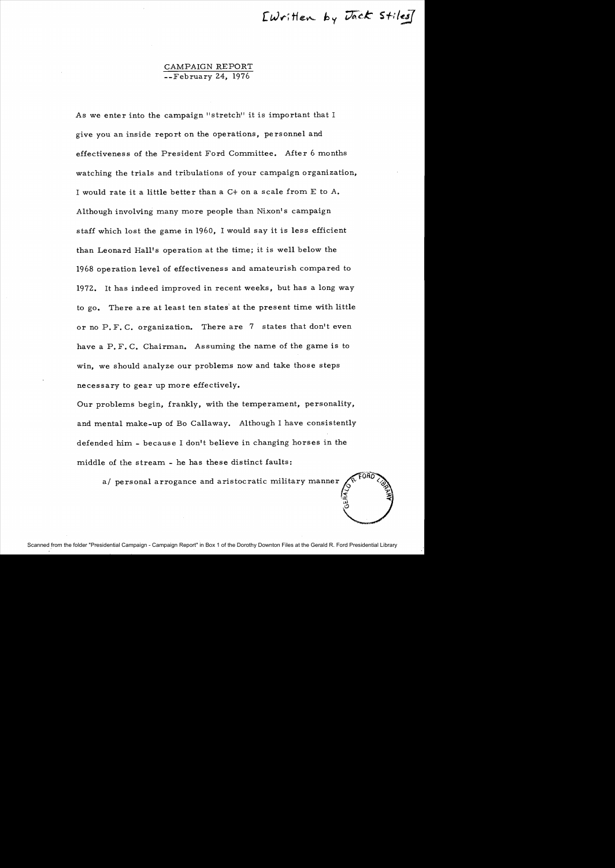Ewritten by Jack Stiles]

# CAMPAIGN REPORT --February 24, 1976

As we enter into the campaign "stretch" it is important that I give you an inside report on the operations, pe rsonnel and effectiveness of the President Ford Committee. After 6 months watching the trials and tribulations of your campaign organization, I would rate it a little better than a  $C+$  on a scale from  $E$  to  $A$ . Although involving many more people than Nixon's campaign staff which lost the game in 1960, I would say it is less efficient than Leonard Hall's operation at the time; it is well below the 1968 operation level of effectiveness and amateurish compared to 1972. It has indeed improved in recent weeks, but has a long way to go. There are at least ten states at the present time with little or no P. F. C. organization. There are 7 states that don't even have a  $P, F, C$ . Chairman. Assuming the name of the game is to win, we should analyze our problems now and take those steps necessary to gear up more effectively.

Our problems begin, frankly, with the temperament, personality, and mental make-up of Bo Callaway. Although I have consistently defended him. - because I don't believe in changing horses in the middle of the stream - he has these distinct faults:

a/ personal arrogance and aristocratic military manner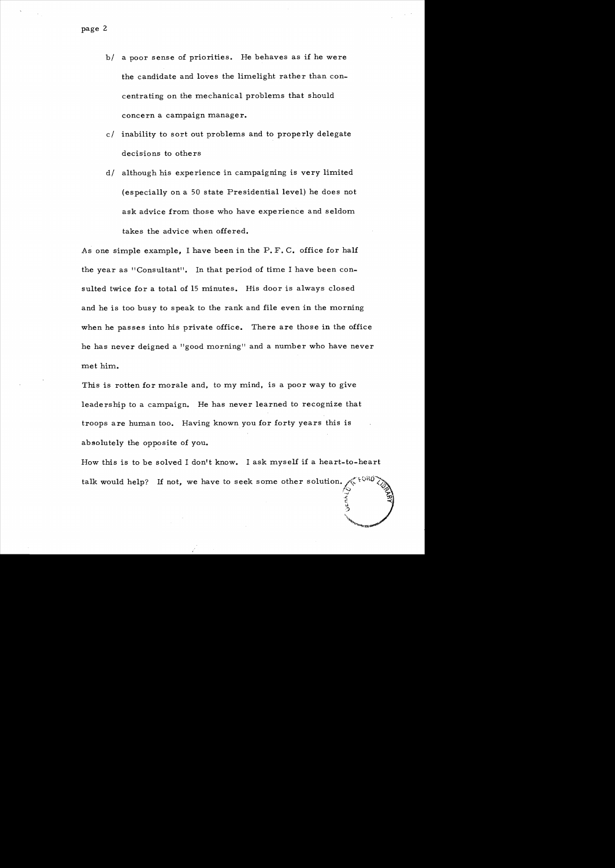- b/ a poor sense of priorities. He behaves as if he were the candidate and loves the limelight rather than concentrating on the mechanical problems that should concern a campaign manager.
- $c$ / inability to sort out problems and to properly delegate decisions to others
- d/ although his experience in campaigning is very limited (especially on a 50 state Presidential level) he does not ask advice from those who have experience and seldom takes the advice when offered.

As one simple example, I have been in the P. F. C. office for half the year as "Consultant". In that period of time I have been consulted twice for a total of 15 minutes. His door is always closed and he is too busy to speak to the rank and file even in the morning when he passes into his private office. There are those in the office he has never deigned a "good morning" and a number who have never met him.

This is rotten for morale and, to my mind, is a poor way to give leadership to a campaign. He has never learned to recognize that troops are human too. Having known you for forty years this is absolutely the opposite of you.

How this is to be solved I don't know. I ask myself if a heart-to-heart talk would help? If not, we have to seek some other solution.  $\frac{1}{2}$ <br>  $\frac{2}{3}$ 

 $\frac{1}{\sqrt{2}}$ 

""'"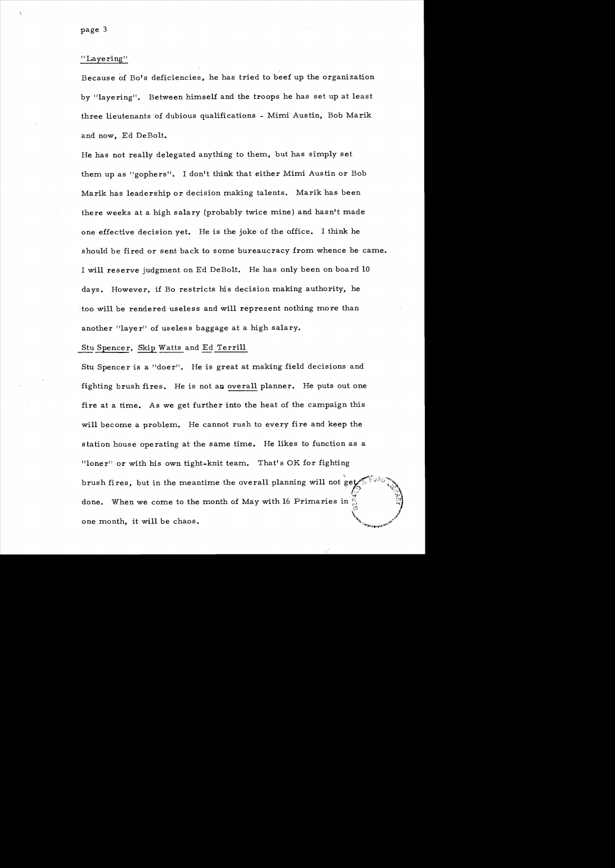#### " Layering"

Because of Bo's deficiencies, he has tried to beef up the organization by "layering". Between himself and the troops he has set up at least three lieutenants of dubious qualifications - Mimi Austin, Bob Marik and now, Ed DeBolt.

He has not really delegated anything to them, but has simply set them up as "gophers". I don't think that either Mimi Austin or Bob Marik has leadership or decision making talents. Marik has been there weeks at a high salary (probably twice mine) and hasn't made one effective decision yet. He is the joke of the office. I think he should be fired or sent back to some bureaucracy from whence he came. I will reserve judgment on Ed DeBolt. He has only been on board 10 days. However, if Bo restricts his decision making authority, he too will be rendered useless and will represent nothing more than another "layer" of useless baggage at a high salary.

#### Stu Spencer. Skip Watts and Ed Terrill

Stu Spencer is a "doer". He is great at making field decisions and fighting brush fires. He is not an overall planner. He puts out one fire at a time. As we get further into the heat of the campaign this will become a problem. He cannot rush to every fire and keep the station house operating at the same time. He likes to function as a "loner" or with his own tight-knit team. That's OK for fighting brush fires, but in the meantime the overall planning will not get. ''''.,.•'''''....~".,....~. f'~J ":\J. **rr :1'"**  done. When we come to the month of May with 16 Primaries in ,c) *l*   $\sqrt{2}$ one month, it will be chaos.

*'i:'.*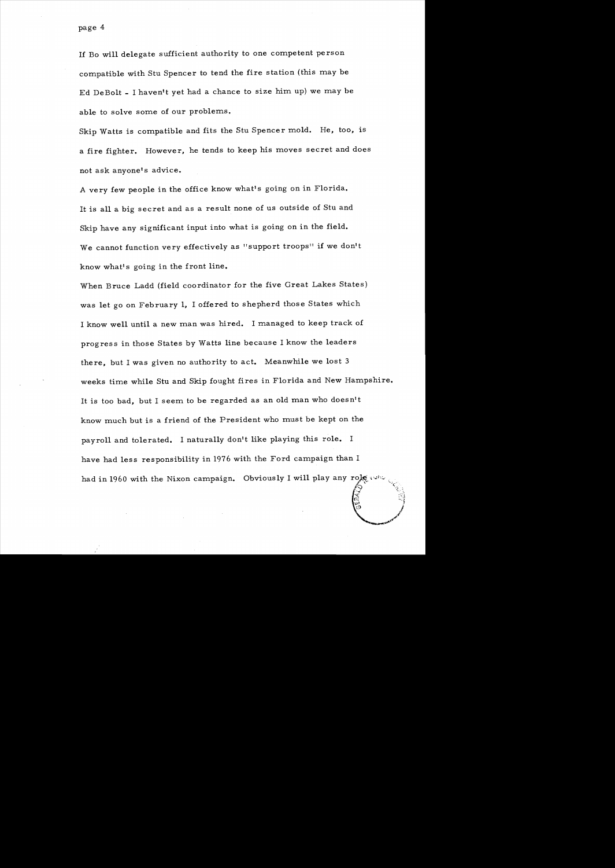If Bo will delegate sufficient authority to one competent person compatible with Stu Spencer to tend the fire station (this may be Ed DeBolt \_ I haven't yet had a chance to size him up) we may be able to solve some of our problems.

Skip Watts is compatible and fits the Stu Spencer mold. He, too, is a fire fighter. However, he tends to keep his moves secret and does not ask anyone's advice.

A very few people in the office know what's going on in Florida. It is all a big secret and as a result none of us outside of Stu and Skip have any significant input into what is going on in the field. We cannot function very effectively as "support troops" if we don't know what's going in the front line.

When Bruce Ladd (field coordinator for the five Great Lakes States) was let go on February I, I offered to shepherd those States which I know well until a new man was hired. I managed to keep track of progres s in those States by Watts line because I know the leaders there, but I was given no authority to act. Meanwhile we lost 3 weeks time while Stu and Skip fought fires in Florida and New Hampshire. It is too bad, but I seem to be regarded as an old man who doesn't know much but is a friend of the President who must be kept on the payroll and tolerated. I naturally don't like playing this role. I have had less responsibility in 1976 with the Ford campaign than I had in 1960 with the Nixon campaign. Obviously I will play any role was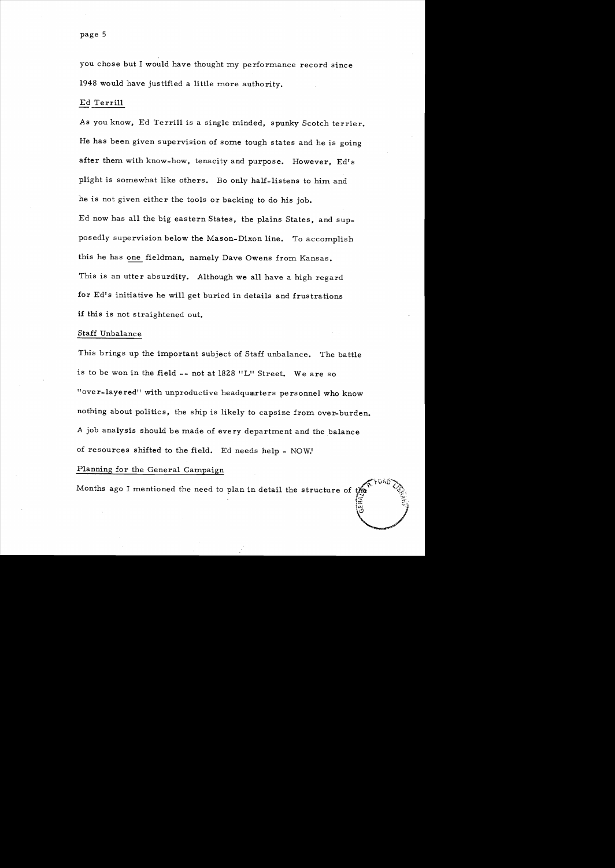you chose but I would have thought my performance record since 1948 would have justified a little more authority.

#### Ed Terrill

As you know, Ed Terrill is a single minded, spunky Scotch terrier. He has been given supervision of some tough states and he is going after them with know-how, tenacity and purpose. However, Ed's plight is somewhat like others. Bo only half-listens to him and he is not given either the tools or backing to do his job. Ed now has all the big eastern States, the plains States, and supposedly supervision below the Mason-Dixon line. To accomplish this he has one fieldman, namely Dave Owens from Kansas. This is an utter absurdity. Although we all have a high regard for Ed's initiative he will get buried in details and frustrations if this is not straightened out.

#### Staff Unbalance

This brings up the important subject of Staff unbalance. The battle is to be won in the field -- not at 1828 "L" Street. We are so "over-layered" with unproductive headquarters personnel who know nothing about politics, the ship is likely to capsize from over-burden. A job analysis should be made of every department and the balance of resources shifted to the field. Ed needs help - NOW.'

### Planning for the General Campaign

Months ago I mentioned the need to plan in detail the structure of t

i<br>ai He FORD ?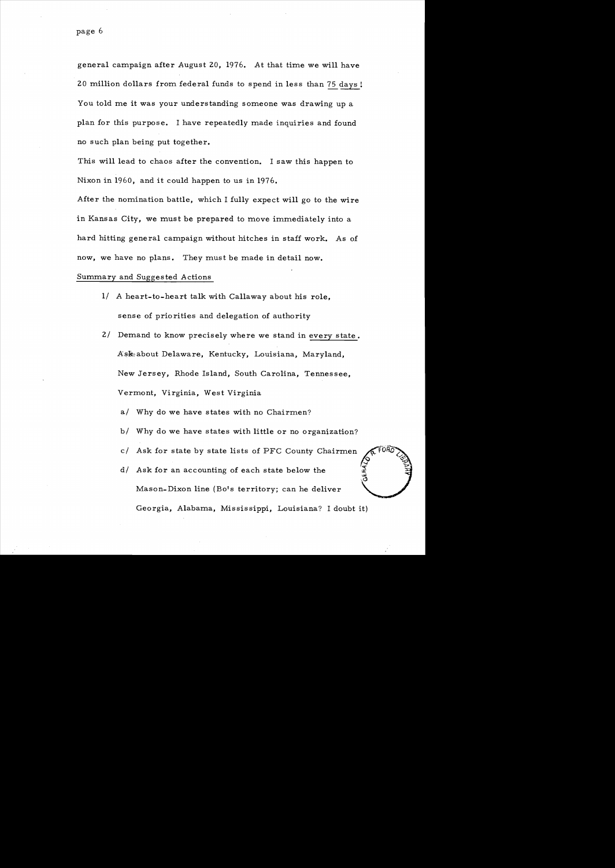general campaign after August 20, 1976. At that time we will have 20 million dollars from federal funds to spend in less than  $75$  days! You told me it was your understanding someone was drawing up a plan for this purpose. I have repeatedly made inquiries and found no such plan being put together.

This will lead to chaos after the convention. I saw this happen to Nixon in 1960, and it could happen to us in 1976.

After the nomination battle, which I fully expect will go to the wire in Kansas City, we must be prepared to move immediately into a hard hitting general campaign without hitches in staff work. As of now, we have no plans. They must be made in detail now.

## Summary and Suggested Actions

- 1/ A heart-to-heart talk with Callaway about his role, sense of priorities and delegation of authority
- 2/ Demand to know precisely where we stand in every state. Ask about Delaware, Kentucky, Louisiana, Maryland, New Jersey, Rhode Island, South Carolina, Tennessee, Vermont, Virginia, West Virginia
	- a/ Why do we have states with no Chairmen?
	- b/ Why do we have states with little or no organization?
	- c/ Ask for state by state lists of PFC County Chairmen
	- $d/$  Ask for an accounting of each state below the Mason-Dixon line (Bo's territory; can he deliver Georgia, Alabama, Mississippi, Louisiana? I doubt it)

 $\Diamond$ "  $\Diamond$ **.**<br>.era/